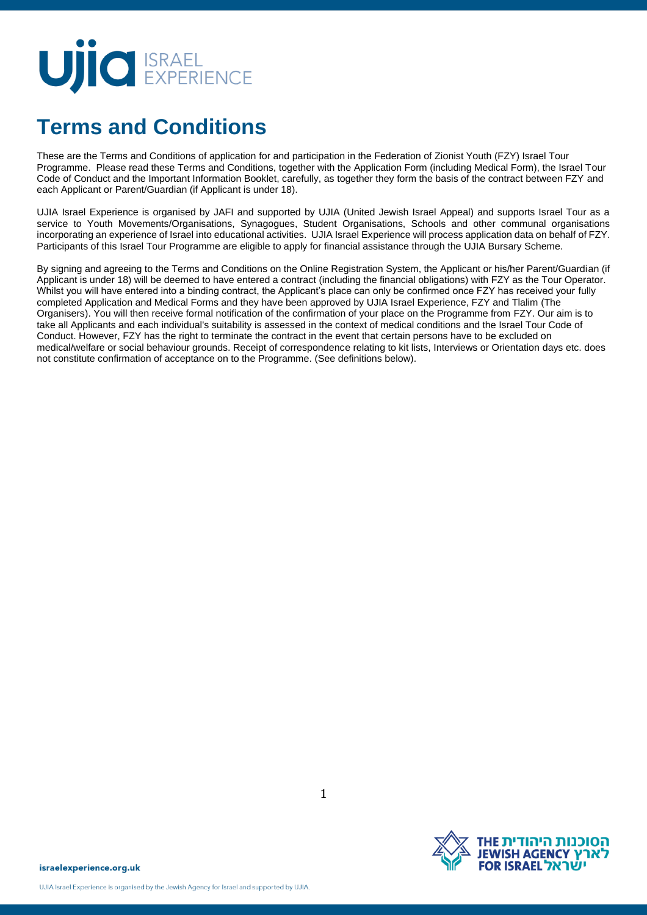# UIC EXPERIENCE

### **Terms and Conditions**

These are the Terms and Conditions of application for and participation in the Federation of Zionist Youth (FZY) Israel Tour Programme. Please read these Terms and Conditions, together with the Application Form (including Medical Form), the Israel Tour Code of Conduct and the Important Information Booklet, carefully, as together they form the basis of the contract between FZY and each Applicant or Parent/Guardian (if Applicant is under 18).

UJIA Israel Experience is organised by JAFI and supported by UJIA (United Jewish Israel Appeal) and supports Israel Tour as a service to Youth Movements/Organisations, Synagogues, Student Organisations, Schools and other communal organisations incorporating an experience of Israel into educational activities. UJIA Israel Experience will process application data on behalf of FZY. Participants of this Israel Tour Programme are eligible to apply for financial assistance through the UJIA Bursary Scheme.

By signing and agreeing to the Terms and Conditions on the Online Registration System, the Applicant or his/her Parent/Guardian (if Applicant is under 18) will be deemed to have entered a contract (including the financial obligations) with FZY as the Tour Operator. Whilst you will have entered into a binding contract, the Applicant's place can only be confirmed once FZY has received your fully completed Application and Medical Forms and they have been approved by UJIA Israel Experience, FZY and Tlalim (The Organisers). You will then receive formal notification of the confirmation of your place on the Programme from FZY. Our aim is to take all Applicants and each individual's suitability is assessed in the context of medical conditions and the Israel Tour Code of Conduct. However, FZY has the right to terminate the contract in the event that certain persons have to be excluded on medical/welfare or social behaviour grounds. Receipt of correspondence relating to kit lists, Interviews or Orientation days etc. does not constitute confirmation of acceptance on to the Programme. (See definitions below).

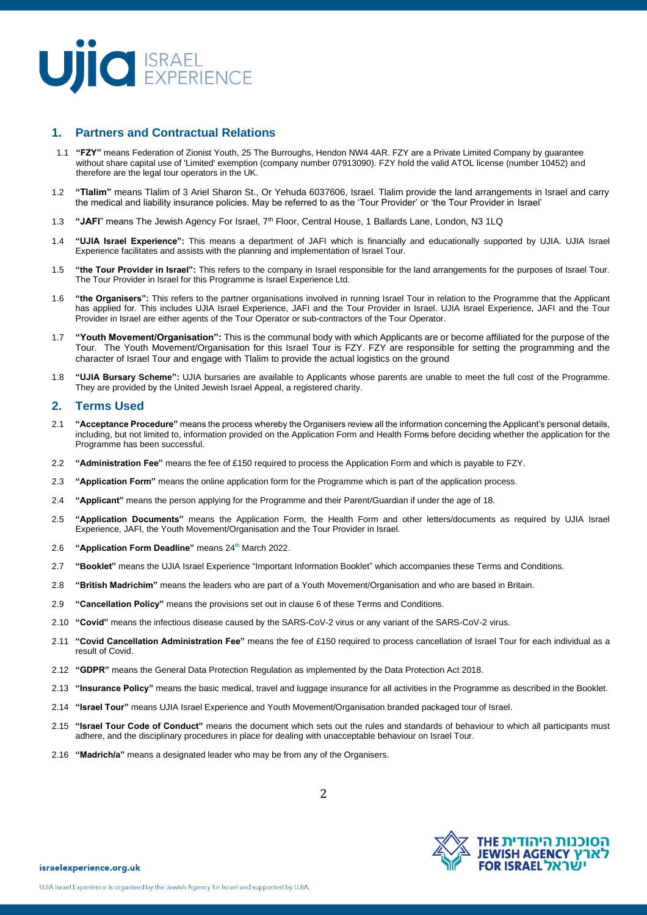

### **1. Partners and Contractual Relations**

- 1.1 **"FZY"** means Federation of Zionist Youth, 25 The Burroughs, Hendon NW4 4AR. FZY are a Private Limited Company by guarantee without share capital use of 'Limited' exemption (company number 07913090). FZY hold the valid ATOL license (number 10452) and therefore are the legal tour operators in the UK.
- 1.2 **"Tlalim"** means Tlalim of 3 Ariel Sharon St., Or Yehuda 6037606, Israel. Tlalim provide the land arrangements in Israel and carry the medical and liability insurance policies. May be referred to as the 'Tour Provider' or 'the Tour Provider in Israel'
- 1.3 **"JAFI**" means The Jewish Agency For Israel, 7th Floor, Central House, 1 Ballards Lane, London, N3 1LQ
- 1.4 **"UJIA Israel Experience":** This means a department of JAFI which is financially and educationally supported by UJIA. UJIA Israel Experience facilitates and assists with the planning and implementation of Israel Tour.
- 1.5 **"the Tour Provider in Israel":** This refers to the company in Israel responsible for the land arrangements for the purposes of Israel Tour. The Tour Provider in Israel for this Programme is Israel Experience Ltd.
- 1.6 **"the Organisers":** This refers to the partner organisations involved in running Israel Tour in relation to the Programme that the Applicant has applied for. This includes UJIA Israel Experience, JAFI and the Tour Provider in Israel. UJIA Israel Experience, JAFI and the Tour Provider in Israel are either agents of the Tour Operator or sub-contractors of the Tour Operator.
- 1.7 **"Youth Movement/Organisation":** This is the communal body with which Applicants are or become affiliated for the purpose of the Tour. The Youth Movement/Organisation for this Israel Tour is FZY. FZY are responsible for setting the programming and the character of Israel Tour and engage with Tlalim to provide the actual logistics on the ground
- 1.8 **"UJIA Bursary Scheme":** UJIA bursaries are available to Applicants whose parents are unable to meet the full cost of the Programme. They are provided by the United Jewish Israel Appeal, a registered charity.

#### **2. Terms Used**

- 2.1 **"Acceptance Procedure"** means the process whereby the Organisers review all the information concerning the Applicant's personal details, including, but not limited to, information provided on the Application Form and Health Forms before deciding whether the application for the Programme has been successful.
- 2.2 **"Administration Fee"** means the fee of £150 required to process the Application Form and which is payable to FZY.
- 2.3 **"Application Form"** means the online application form for the Programme which is part of the application process.
- 2.4 **"Applicant"** means the person applying for the Programme and their Parent/Guardian if under the age of 18.
- 2.5 **"Application Documents"** means the Application Form, the Health Form and other letters/documents as required by UJIA Israel Experience, JAFI, the Youth Movement/Organisation and the Tour Provider in Israel.
- 2.6 **"Application Form Deadline"** means 24<sup>th</sup> March 2022.
- 2.7 **"Booklet"** means the UJIA Israel Experience "Important Information Booklet" which accompanies these Terms and Conditions.
- 2.8 **"British Madrichim"** means the leaders who are part of a Youth Movement/Organisation and who are based in Britain.
- 2.9 **"Cancellation Policy"** means the provisions set out in clause 6 of these Terms and Conditions.
- 2.10 **"Covid"** means the infectious disease caused by the SARS-CoV-2 virus or any variant of the SARS-CoV-2 virus.
- 2.11 **"Covid Cancellation Administration Fee"** means the fee of £150 required to process cancellation of Israel Tour for each individual as a result of Covid.
- 2.12 **"GDPR"** means the General Data Protection Regulation as implemented by the Data Protection Act 2018.
- 2.13 **"Insurance Policy"** means the basic medical, travel and luggage insurance for all activities in the Programme as described in the Booklet.
- 2.14 **"Israel Tour"** means UJIA Israel Experience and Youth Movement/Organisation branded packaged tour of Israel.
- 2.15 **"Israel Tour Code of Conduct"** means the document which sets out the rules and standards of behaviour to which all participants must adhere, and the disciplinary procedures in place for dealing with unacceptable behaviour on Israel Tour.
- 2.16 **"Madrich/a"** means a designated leader who may be from any of the Organisers.

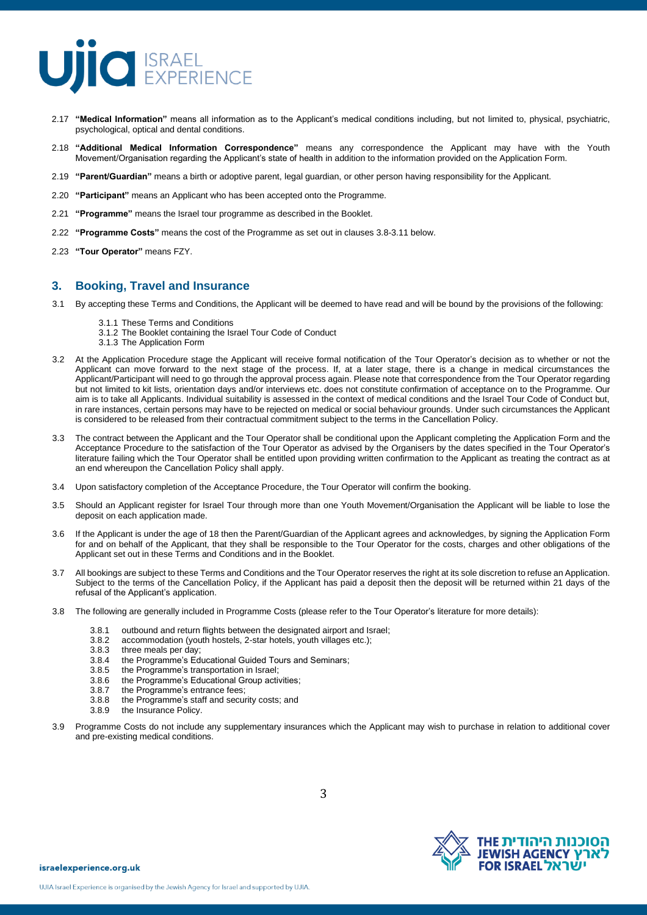

- 2.17 **"Medical Information"** means all information as to the Applicant's medical conditions including, but not limited to, physical, psychiatric, psychological, optical and dental conditions.
- 2.18 **"Additional Medical Information Correspondence"** means any correspondence the Applicant may have with the Youth Movement/Organisation regarding the Applicant's state of health in addition to the information provided on the Application Form.
- 2.19 **"Parent/Guardian"** means a birth or adoptive parent, legal guardian, or other person having responsibility for the Applicant.
- 2.20 **"Participant"** means an Applicant who has been accepted onto the Programme.
- 2.21 **"Programme"** means the Israel tour programme as described in the Booklet.
- 2.22 **"Programme Costs"** means the cost of the Programme as set out in clauses 3.8-3.11 below.
- 2.23 **"Tour Operator"** means FZY.

#### **3. Booking, Travel and Insurance**

- 3.1 By accepting these Terms and Conditions, the Applicant will be deemed to have read and will be bound by the provisions of the following:
	- 3.1.1 These Terms and Conditions
	- 3.1.2 The Booklet containing the Israel Tour Code of Conduct
	- 3.1.3 The Application Form
- 3.2 At the Application Procedure stage the Applicant will receive formal notification of the Tour Operator's decision as to whether or not the Applicant can move forward to the next stage of the process. If, at a later stage, there is a change in medical circumstances the Applicant/Participant will need to go through the approval process again. Please note that correspondence from the Tour Operator regarding but not limited to kit lists, orientation days and/or interviews etc. does not constitute confirmation of acceptance on to the Programme. Our aim is to take all Applicants. Individual suitability is assessed in the context of medical conditions and the Israel Tour Code of Conduct but, in rare instances, certain persons may have to be rejected on medical or social behaviour grounds. Under such circumstances the Applicant is considered to be released from their contractual commitment subject to the terms in the Cancellation Policy.
- 3.3 The contract between the Applicant and the Tour Operator shall be conditional upon the Applicant completing the Application Form and the Acceptance Procedure to the satisfaction of the Tour Operator as advised by the Organisers by the dates specified in the Tour Operator's literature failing which the Tour Operator shall be entitled upon providing written confirmation to the Applicant as treating the contract as at an end whereupon the Cancellation Policy shall apply.
- 3.4 Upon satisfactory completion of the Acceptance Procedure, the Tour Operator will confirm the booking.
- 3.5 Should an Applicant register for Israel Tour through more than one Youth Movement/Organisation the Applicant will be liable to lose the deposit on each application made.
- 3.6 If the Applicant is under the age of 18 then the Parent/Guardian of the Applicant agrees and acknowledges, by signing the Application Form for and on behalf of the Applicant, that they shall be responsible to the Tour Operator for the costs, charges and other obligations of the Applicant set out in these Terms and Conditions and in the Booklet.
- 3.7 All bookings are subject to these Terms and Conditions and the Tour Operator reserves the right at its sole discretion to refuse an Application. Subject to the terms of the Cancellation Policy, if the Applicant has paid a deposit then the deposit will be returned within 21 days of the refusal of the Applicant's application.
- 3.8 The following are generally included in Programme Costs (please refer to the Tour Operator's literature for more details):
	- 3.8.1 outbound and return flights between the designated airport and Israel;<br>3.8.2 accommodation (youth hostels, 2-star hotels, youth villages etc.);
	- 3.8.2 accommodation (youth hostels, 2-star hotels, youth villages etc.);
	- three meals per day:
	- 3.8.4 the Programme's Educational Guided Tours and Seminars;<br>3.8.5 the Programme's transportation in Israel;
	- the Programme's transportation in Israel;
	- 3.8.6 the Programme's Educational Group activities;
	- 3.8.7 the Programme's entrance fees;
	- 3.8.8 the Programme's staff and security costs; and
	- the Insurance Policy.
- 3.9 Programme Costs do not include any supplementary insurances which the Applicant may wish to purchase in relation to additional cover and pre-existing medical conditions.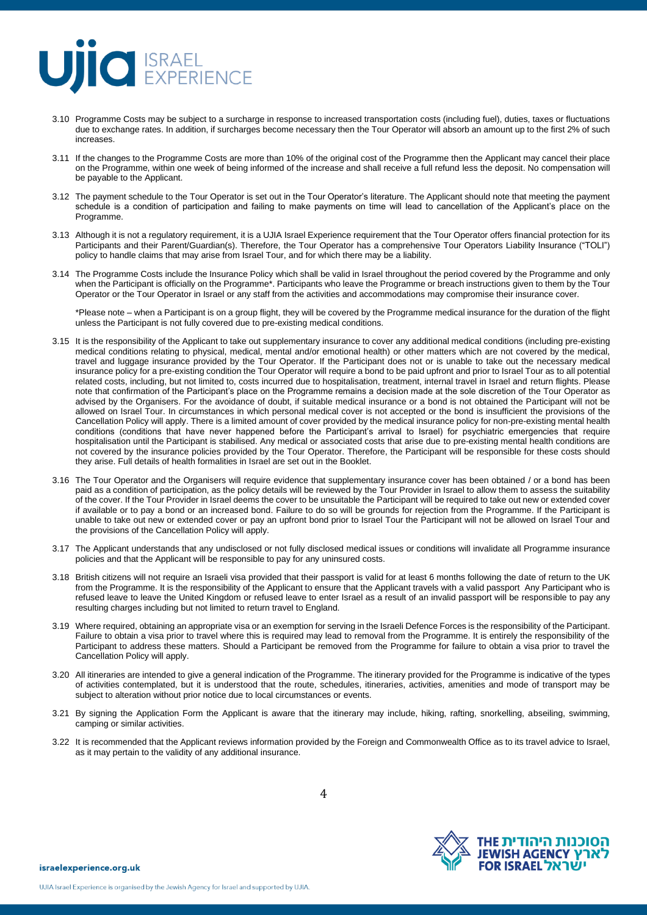### **UIIO** EXPERIENCE

- 3.10 Programme Costs may be subject to a surcharge in response to increased transportation costs (including fuel), duties, taxes or fluctuations due to exchange rates. In addition, if surcharges become necessary then the Tour Operator will absorb an amount up to the first 2% of such increases.
- 3.11 If the changes to the Programme Costs are more than 10% of the original cost of the Programme then the Applicant may cancel their place on the Programme, within one week of being informed of the increase and shall receive a full refund less the deposit. No compensation will be payable to the Applicant.
- 3.12 The payment schedule to the Tour Operator is set out in the Tour Operator's literature. The Applicant should note that meeting the payment schedule is a condition of participation and failing to make payments on time will lead to cancellation of the Applicant's place on the Programme.
- 3.13 Although it is not a regulatory requirement, it is a UJIA Israel Experience requirement that the Tour Operator offers financial protection for its Participants and their Parent/Guardian(s). Therefore, the Tour Operator has a comprehensive Tour Operators Liability Insurance ("TOLI") policy to handle claims that may arise from Israel Tour, and for which there may be a liability.
- 3.14 The Programme Costs include the Insurance Policy which shall be valid in Israel throughout the period covered by the Programme and only when the Participant is officially on the Programme\*. Participants who leave the Programme or breach instructions given to them by the Tour Operator or the Tour Operator in Israel or any staff from the activities and accommodations may compromise their insurance cover.

\*Please note – when a Participant is on a group flight, they will be covered by the Programme medical insurance for the duration of the flight unless the Participant is not fully covered due to pre-existing medical conditions.

- 3.15 It is the responsibility of the Applicant to take out supplementary insurance to cover any additional medical conditions (including pre-existing medical conditions relating to physical, medical, mental and/or emotional health) or other matters which are not covered by the medical, travel and luggage insurance provided by the Tour Operator. If the Participant does not or is unable to take out the necessary medical insurance policy for a pre-existing condition the Tour Operator will require a bond to be paid upfront and prior to Israel Tour as to all potential related costs, including, but not limited to, costs incurred due to hospitalisation, treatment, internal travel in Israel and return flights. Please note that confirmation of the Participant's place on the Programme remains a decision made at the sole discretion of the Tour Operator as advised by the Organisers. For the avoidance of doubt, if suitable medical insurance or a bond is not obtained the Participant will not be allowed on Israel Tour. In circumstances in which personal medical cover is not accepted or the bond is insufficient the provisions of the Cancellation Policy will apply. There is a limited amount of cover provided by the medical insurance policy for non-pre-existing mental health conditions (conditions that have never happened before the Participant's arrival to Israel) for psychiatric emergencies that require hospitalisation until the Participant is stabilised. Any medical or associated costs that arise due to pre-existing mental health conditions are not covered by the insurance policies provided by the Tour Operator. Therefore, the Participant will be responsible for these costs should they arise. Full details of health formalities in Israel are set out in the Booklet.
- 3.16 The Tour Operator and the Organisers will require evidence that supplementary insurance cover has been obtained / or a bond has been paid as a condition of participation, as the policy details will be reviewed by the Tour Provider in Israel to allow them to assess the suitability of the cover. If the Tour Provider in Israel deems the cover to be unsuitable the Participant will be required to take out new or extended cover if available or to pay a bond or an increased bond. Failure to do so will be grounds for rejection from the Programme. If the Participant is unable to take out new or extended cover or pay an upfront bond prior to Israel Tour the Participant will not be allowed on Israel Tour and the provisions of the Cancellation Policy will apply.
- 3.17 The Applicant understands that any undisclosed or not fully disclosed medical issues or conditions will invalidate all Programme insurance policies and that the Applicant will be responsible to pay for any uninsured costs.
- 3.18 British citizens will not require an Israeli visa provided that their passport is valid for at least 6 months following the date of return to the UK from the Programme. It is the responsibility of the Applicant to ensure that the Applicant travels with a valid passport Any Participant who is refused leave to leave the United Kingdom or refused leave to enter Israel as a result of an invalid passport will be responsible to pay any resulting charges including but not limited to return travel to England.
- 3.19 Where required, obtaining an appropriate visa or an exemption for serving in the Israeli Defence Forces is the responsibility of the Participant. Failure to obtain a visa prior to travel where this is required may lead to removal from the Programme. It is entirely the responsibility of the Participant to address these matters. Should a Participant be removed from the Programme for failure to obtain a visa prior to travel the Cancellation Policy will apply.
- 3.20 All itineraries are intended to give a general indication of the Programme. The itinerary provided for the Programme is indicative of the types of activities contemplated, but it is understood that the route, schedules, itineraries, activities, amenities and mode of transport may be subject to alteration without prior notice due to local circumstances or events.
- 3.21 By signing the Application Form the Applicant is aware that the itinerary may include, hiking, rafting, snorkelling, abseiling, swimming, camping or similar activities.
- 3.22 It is recommended that the Applicant reviews information provided by the Foreign and Commonwealth Office as to its travel advice to Israel, as it may pertain to the validity of any additional insurance.

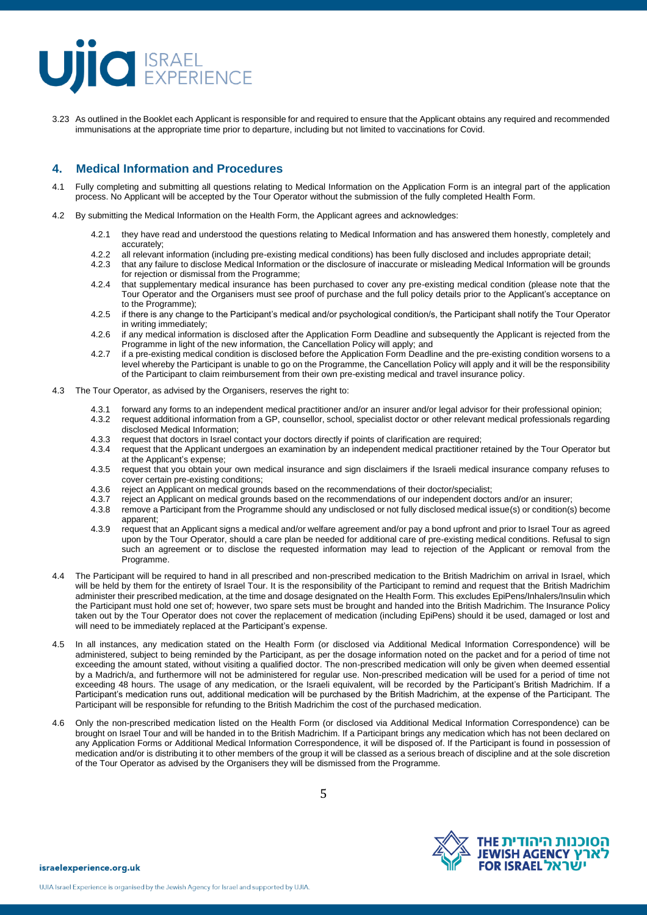## **UIC** EXPERIENCE

3.23 As outlined in the Booklet each Applicant is responsible for and required to ensure that the Applicant obtains any required and recommended immunisations at the appropriate time prior to departure, including but not limited to vaccinations for Covid.

### **4. Medical Information and Procedures**

- 4.1 Fully completing and submitting all questions relating to Medical Information on the Application Form is an integral part of the application process. No Applicant will be accepted by the Tour Operator without the submission of the fully completed Health Form.
- 4.2 By submitting the Medical Information on the Health Form, the Applicant agrees and acknowledges:
	- 4.2.1 they have read and understood the questions relating to Medical Information and has answered them honestly, completely and accurately;
	- 4.2.2 all relevant information (including pre-existing medical conditions) has been fully disclosed and includes appropriate detail;
	- 4.2.3 that any failure to disclose Medical Information or the disclosure of inaccurate or misleading Medical Information will be grounds for rejection or dismissal from the Programme;
	- 4.2.4 that supplementary medical insurance has been purchased to cover any pre-existing medical condition (please note that the Tour Operator and the Organisers must see proof of purchase and the full policy details prior to the Applicant's acceptance on to the Programme);
	- 4.2.5 if there is any change to the Participant's medical and/or psychological condition/s, the Participant shall notify the Tour Operator in writing immediately;
	- 4.2.6 if any medical information is disclosed after the Application Form Deadline and subsequently the Applicant is rejected from the Programme in light of the new information, the Cancellation Policy will apply; and
	- 4.2.7 if a pre-existing medical condition is disclosed before the Application Form Deadline and the pre-existing condition worsens to a level whereby the Participant is unable to go on the Programme, the Cancellation Policy will apply and it will be the responsibility of the Participant to claim reimbursement from their own pre-existing medical and travel insurance policy.
- 4.3 The Tour Operator, as advised by the Organisers, reserves the right to:
	-
	- 4.3.1 forward any forms to an independent medical practitioner and/or an insurer and/or legal advisor for their professional opinion;<br>4.3.2 request additional information from a GP, counsellor, school, specialist doctor or 4.3.2 request additional information from a GP, counsellor, school, specialist doctor or other relevant medical professionals regarding disclosed Medical Information;
	- 4.3.3 request that doctors in Israel contact your doctors directly if points of clarification are required;<br>4.3.4 request that the Applicant undergoes an examination by an independent medical practitioner
	- request that the Applicant undergoes an examination by an independent medical practitioner retained by the Tour Operator but at the Applicant's expense;
	- 4.3.5 request that you obtain your own medical insurance and sign disclaimers if the Israeli medical insurance company refuses to cover certain pre-existing conditions;
	- 4.3.6 reject an Applicant on medical grounds based on the recommendations of their doctor/specialist;<br>4.3.7 reject an Applicant on medical grounds based on the recommendations of our independent docto
	- 4.3.7 reject an Applicant on medical grounds based on the recommendations of our independent doctors and/or an insurer;<br>4.3.8 remove a Participant from the Programme should any undisclosed or not fully disclosed medical is
	- remove a Participant from the Programme should any undisclosed or not fully disclosed medical issue(s) or condition(s) become apparent;
	- 4.3.9 request that an Applicant signs a medical and/or welfare agreement and/or pay a bond upfront and prior to Israel Tour as agreed upon by the Tour Operator, should a care plan be needed for additional care of pre-existing medical conditions. Refusal to sign such an agreement or to disclose the requested information may lead to rejection of the Applicant or removal from the Programme.
- 4.4 The Participant will be required to hand in all prescribed and non-prescribed medication to the British Madrichim on arrival in Israel, which will be held by them for the entirety of Israel Tour. It is the responsibility of the Participant to remind and request that the British Madrichim administer their prescribed medication, at the time and dosage designated on the Health Form. This excludes EpiPens/Inhalers/Insulin which the Participant must hold one set of; however, two spare sets must be brought and handed into the British Madrichim. The Insurance Policy taken out by the Tour Operator does not cover the replacement of medication (including EpiPens) should it be used, damaged or lost and will need to be immediately replaced at the Participant's expense.
- 4.5 In all instances, any medication stated on the Health Form (or disclosed via Additional Medical Information Correspondence) will be administered, subject to being reminded by the Participant, as per the dosage information noted on the packet and for a period of time not exceeding the amount stated, without visiting a qualified doctor. The non-prescribed medication will only be given when deemed essential by a Madrich/a, and furthermore will not be administered for regular use. Non-prescribed medication will be used for a period of time not exceeding 48 hours. The usage of any medication, or the Israeli equivalent, will be recorded by the Participant's British Madrichim. If a Participant's medication runs out, additional medication will be purchased by the British Madrichim, at the expense of the Participant. The Participant will be responsible for refunding to the British Madrichim the cost of the purchased medication.
- 4.6 Only the non-prescribed medication listed on the Health Form (or disclosed via Additional Medical Information Correspondence) can be brought on Israel Tour and will be handed in to the British Madrichim. If a Participant brings any medication which has not been declared on any Application Forms or Additional Medical Information Correspondence, it will be disposed of. If the Participant is found in possession of medication and/or is distributing it to other members of the group it will be classed as a serious breach of discipline and at the sole discretion of the Tour Operator as advised by the Organisers they will be dismissed from the Programme.

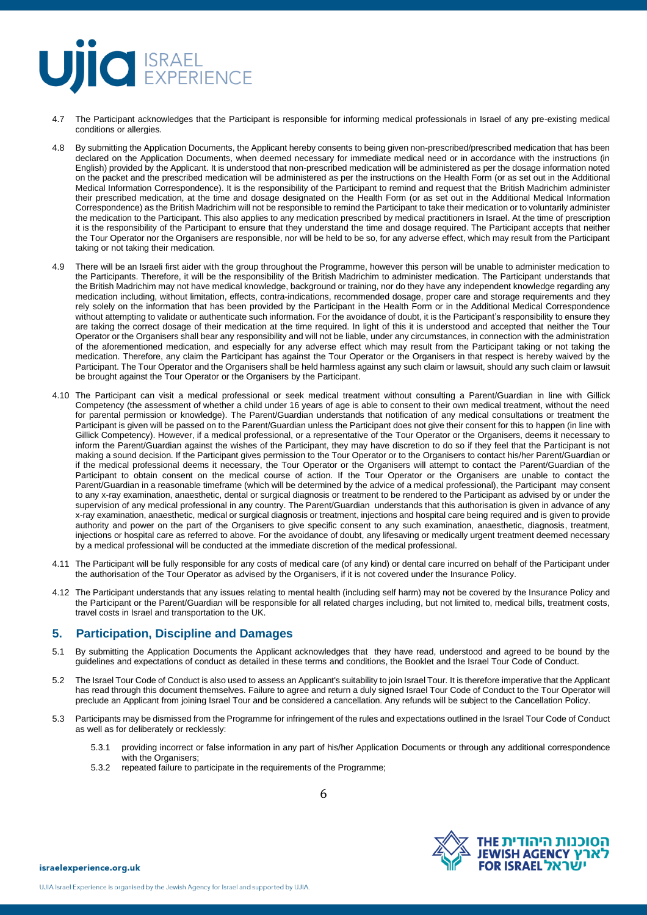### **UIC** EXPERIENCE

- 4.7 The Participant acknowledges that the Participant is responsible for informing medical professionals in Israel of any pre-existing medical conditions or allergies.
- 4.8 By submitting the Application Documents, the Applicant hereby consents to being given non-prescribed/prescribed medication that has been declared on the Application Documents, when deemed necessary for immediate medical need or in accordance with the instructions (in English) provided by the Applicant. It is understood that non-prescribed medication will be administered as per the dosage information noted on the packet and the prescribed medication will be administered as per the instructions on the Health Form (or as set out in the Additional Medical Information Correspondence). It is the responsibility of the Participant to remind and request that the British Madrichim administer their prescribed medication, at the time and dosage designated on the Health Form (or as set out in the Additional Medical Information Correspondence) as the British Madrichim will not be responsible to remind the Participant to take their medication or to voluntarily administer the medication to the Participant. This also applies to any medication prescribed by medical practitioners in Israel. At the time of prescription it is the responsibility of the Participant to ensure that they understand the time and dosage required. The Participant accepts that neither the Tour Operator nor the Organisers are responsible, nor will be held to be so, for any adverse effect, which may result from the Participant taking or not taking their medication.
- 4.9 There will be an Israeli first aider with the group throughout the Programme, however this person will be unable to administer medication to the Participants. Therefore, it will be the responsibility of the British Madrichim to administer medication. The Participant understands that the British Madrichim may not have medical knowledge, background or training, nor do they have any independent knowledge regarding any medication including, without limitation, effects, contra-indications, recommended dosage, proper care and storage requirements and they rely solely on the information that has been provided by the Participant in the Health Form or in the Additional Medical Correspondence without attempting to validate or authenticate such information. For the avoidance of doubt, it is the Participant's responsibility to ensure they are taking the correct dosage of their medication at the time required. In light of this it is understood and accepted that neither the Tour Operator or the Organisers shall bear any responsibility and will not be liable, under any circumstances, in connection with the administration of the aforementioned medication, and especially for any adverse effect which may result from the Participant taking or not taking the medication. Therefore, any claim the Participant has against the Tour Operator or the Organisers in that respect is hereby waived by the Participant. The Tour Operator and the Organisers shall be held harmless against any such claim or lawsuit, should any such claim or lawsuit be brought against the Tour Operator or the Organisers by the Participant.
- 4.10 The Participant can visit a medical professional or seek medical treatment without consulting a Parent/Guardian in line with Gillick Competency (the assessment of whether a child under 16 years of age is able to consent to their own medical treatment, without the need for parental permission or knowledge). The Parent/Guardian understands that notification of any medical consultations or treatment the Participant is given will be passed on to the Parent/Guardian unless the Participant does not give their consent for this to happen (in line with Gillick Competency). However, if a medical professional, or a representative of the Tour Operator or the Organisers, deems it necessary to inform the Parent/Guardian against the wishes of the Participant, they may have discretion to do so if they feel that the Participant is not making a sound decision. If the Participant gives permission to the Tour Operator or to the Organisers to contact his/her Parent/Guardian or if the medical professional deems it necessary, the Tour Operator or the Organisers will attempt to contact the Parent/Guardian of the Participant to obtain consent on the medical course of action. If the Tour Operator or the Organisers are unable to contact the Parent/Guardian in a reasonable timeframe (which will be determined by the advice of a medical professional), the Participant may consent to any x-ray examination, anaesthetic, dental or surgical diagnosis or treatment to be rendered to the Participant as advised by or under the supervision of any medical professional in any country. The Parent/Guardian understands that this authorisation is given in advance of any x-ray examination, anaesthetic, medical or surgical diagnosis or treatment, injections and hospital care being required and is given to provide authority and power on the part of the Organisers to give specific consent to any such examination, anaesthetic, diagnosis, treatment, injections or hospital care as referred to above. For the avoidance of doubt, any lifesaving or medically urgent treatment deemed necessary by a medical professional will be conducted at the immediate discretion of the medical professional.
- 4.11 The Participant will be fully responsible for any costs of medical care (of any kind) or dental care incurred on behalf of the Participant under the authorisation of the Tour Operator as advised by the Organisers, if it is not covered under the Insurance Policy.
- 4.12 The Participant understands that any issues relating to mental health (including self harm) may not be covered by the Insurance Policy and the Participant or the Parent/Guardian will be responsible for all related charges including, but not limited to, medical bills, treatment costs, travel costs in Israel and transportation to the UK.

### **5. Participation, Discipline and Damages**

- 5.1 By submitting the Application Documents the Applicant acknowledges that they have read, understood and agreed to be bound by the guidelines and expectations of conduct as detailed in these terms and conditions, the Booklet and the Israel Tour Code of Conduct.
- 5.2 The Israel Tour Code of Conduct is also used to assess an Applicant's suitability to join Israel Tour. It is therefore imperative that the Applicant has read through this document themselves. Failure to agree and return a duly signed Israel Tour Code of Conduct to the Tour Operator will preclude an Applicant from joining Israel Tour and be considered a cancellation. Any refunds will be subject to the Cancellation Policy.
- 5.3 Participants may be dismissed from the Programme for infringement of the rules and expectations outlined in the Israel Tour Code of Conduct as well as for deliberately or recklessly:

6

- 5.3.1 providing incorrect or false information in any part of his/her Application Documents or through any additional correspondence with the Organisers;
- 5.3.2 repeated failure to participate in the requirements of the Programme;

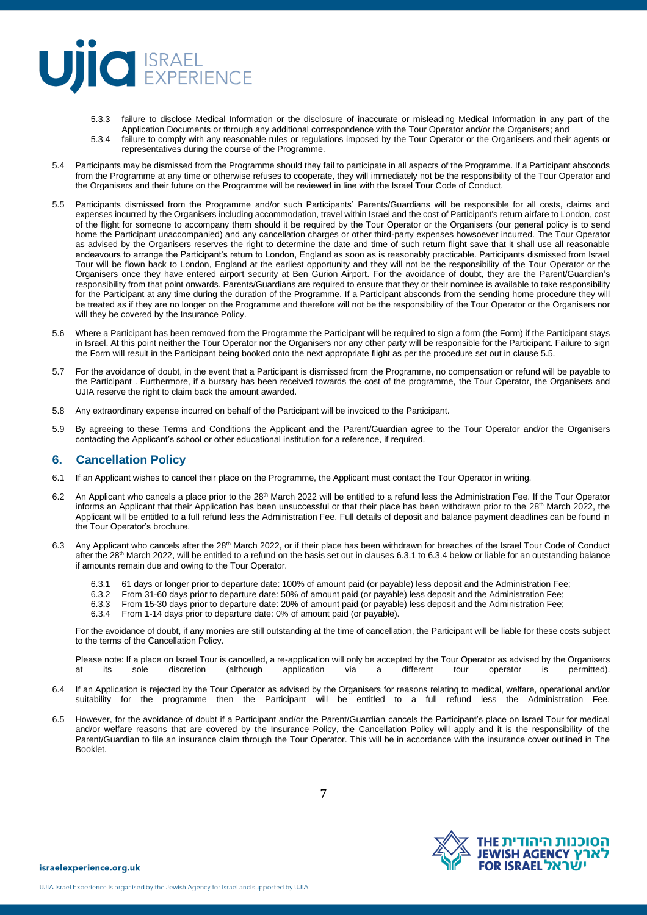### **UIIO** EXPERIENCE

- 5.3.3 failure to disclose Medical Information or the disclosure of inaccurate or misleading Medical Information in any part of the Application Documents or through any additional correspondence with the Tour Operator and/or the Organisers; and
- 5.3.4 failure to comply with any reasonable rules or regulations imposed by the Tour Operator or the Organisers and their agents or representatives during the course of the Programme.
- 5.4 Participants may be dismissed from the Programme should they fail to participate in all aspects of the Programme. If a Participant absconds from the Programme at any time or otherwise refuses to cooperate, they will immediately not be the responsibility of the Tour Operator and the Organisers and their future on the Programme will be reviewed in line with the Israel Tour Code of Conduct.
- 5.5 Participants dismissed from the Programme and/or such Participants' Parents/Guardians will be responsible for all costs, claims and expenses incurred by the Organisers including accommodation, travel within Israel and the cost of Participant's return airfare to London, cost of the flight for someone to accompany them should it be required by the Tour Operator or the Organisers (our general policy is to send home the Participant unaccompanied) and any cancellation charges or other third-party expenses howsoever incurred. The Tour Operator as advised by the Organisers reserves the right to determine the date and time of such return flight save that it shall use all reasonable endeavours to arrange the Participant's return to London, England as soon as is reasonably practicable. Participants dismissed from Israel Tour will be flown back to London, England at the earliest opportunity and they will not be the responsibility of the Tour Operator or the Organisers once they have entered airport security at Ben Gurion Airport. For the avoidance of doubt, they are the Parent/Guardian's responsibility from that point onwards. Parents/Guardians are required to ensure that they or their nominee is available to take responsibility for the Participant at any time during the duration of the Programme. If a Participant absconds from the sending home procedure they will be treated as if they are no longer on the Programme and therefore will not be the responsibility of the Tour Operator or the Organisers nor will they be covered by the Insurance Policy.
- 5.6 Where a Participant has been removed from the Programme the Participant will be required to sign a form (the Form) if the Participant stays in Israel. At this point neither the Tour Operator nor the Organisers nor any other party will be responsible for the Participant. Failure to sign the Form will result in the Participant being booked onto the next appropriate flight as per the procedure set out in clause 5.5.
- 5.7 For the avoidance of doubt, in the event that a Participant is dismissed from the Programme, no compensation or refund will be payable to the Participant . Furthermore, if a bursary has been received towards the cost of the programme, the Tour Operator, the Organisers and UJIA reserve the right to claim back the amount awarded.
- 5.8 Any extraordinary expense incurred on behalf of the Participant will be invoiced to the Participant.
- 5.9 By agreeing to these Terms and Conditions the Applicant and the Parent/Guardian agree to the Tour Operator and/or the Organisers contacting the Applicant's school or other educational institution for a reference, if required.

#### **6. Cancellation Policy**

- 6.1 If an Applicant wishes to cancel their place on the Programme, the Applicant must contact the Tour Operator in writing.
- 6.2 An Applicant who cancels a place prior to the 28<sup>th</sup> March 2022 will be entitled to a refund less the Administration Fee. If the Tour Operator informs an Applicant that their Application has been unsuccessful or that their place has been withdrawn prior to the 28<sup>th</sup> March 2022, the Applicant will be entitled to a full refund less the Administration Fee. Full details of deposit and balance payment deadlines can be found in the Tour Operator's brochure.
- 6.3 Any Applicant who cancels after the 28th March 2022, or if their place has been withdrawn for breaches of the Israel Tour Code of Conduct after the 28<sup>th</sup> March 2022, will be entitled to a refund on the basis set out in clauses 6.3.1 to 6.3.4 below or liable for an outstanding balance if amounts remain due and owing to the Tour Operator.
	- 6.3.1 61 days or longer prior to departure date: 100% of amount paid (or payable) less deposit and the Administration Fee;
	- 6.3.2 From 31-60 days prior to departure date: 50% of amount paid (or payable) less deposit and the Administration Fee;
	- 6.3.3 From 15-30 days prior to departure date: 20% of amount paid (or payable) less deposit and the Administration Fee;
	- 6.3.4 From 1-14 days prior to departure date: 0% of amount paid (or payable).

For the avoidance of doubt, if any monies are still outstanding at the time of cancellation, the Participant will be liable for these costs subject to the terms of the Cancellation Policy.

Please note: If a place on Israel Tour is cancelled, a re-application will only be accepted by the Tour Operator as advised by the Organisers at its sole discretion (although application via a different tour operator is permitted).

- 6.4 If an Application is rejected by the Tour Operator as advised by the Organisers for reasons relating to medical, welfare, operational and/or suitability for the programme then the Participant will be entitled to a full refund less the Administration Fee.
- 6.5 However, for the avoidance of doubt if a Participant and/or the Parent/Guardian cancels the Participant's place on Israel Tour for medical and/or welfare reasons that are covered by the Insurance Policy, the Cancellation Policy will apply and it is the responsibility of the Parent/Guardian to file an insurance claim through the Tour Operator. This will be in accordance with the insurance cover outlined in The Booklet.

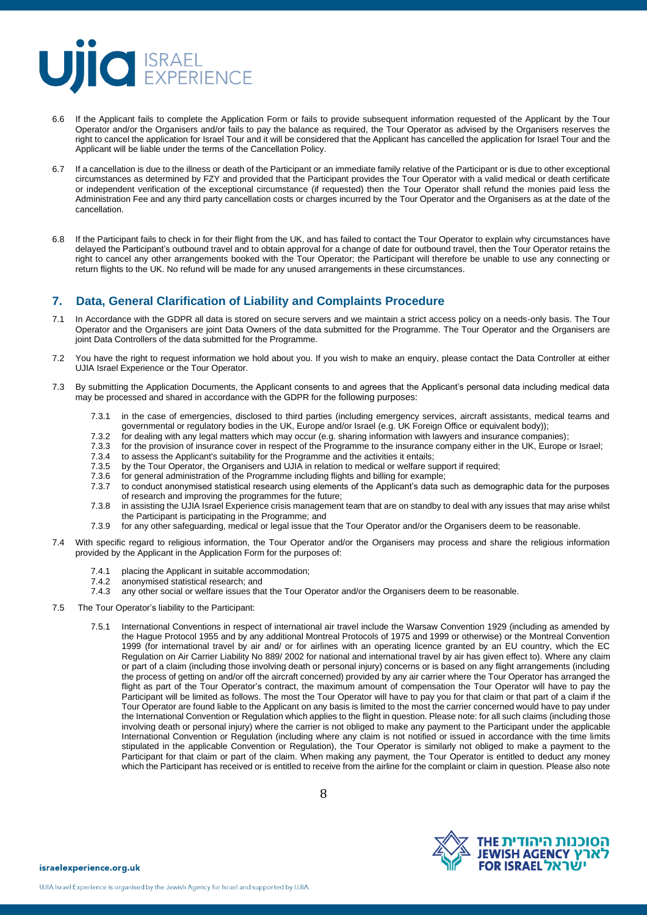

- 6.6 If the Applicant fails to complete the Application Form or fails to provide subsequent information requested of the Applicant by the Tour Operator and/or the Organisers and/or fails to pay the balance as required, the Tour Operator as advised by the Organisers reserves the right to cancel the application for Israel Tour and it will be considered that the Applicant has cancelled the application for Israel Tour and the Applicant will be liable under the terms of the Cancellation Policy.
- 6.7 If a cancellation is due to the illness or death of the Participant or an immediate family relative of the Participant or is due to other exceptional circumstances as determined by FZY and provided that the Participant provides the Tour Operator with a valid medical or death certificate or independent verification of the exceptional circumstance (if requested) then the Tour Operator shall refund the monies paid less the Administration Fee and any third party cancellation costs or charges incurred by the Tour Operator and the Organisers as at the date of the cancellation.
- 6.8 If the Participant fails to check in for their flight from the UK, and has failed to contact the Tour Operator to explain why circumstances have delayed the Participant's outbound travel and to obtain approval for a change of date for outbound travel, then the Tour Operator retains the right to cancel any other arrangements booked with the Tour Operator; the Participant will therefore be unable to use any connecting or return flights to the UK. No refund will be made for any unused arrangements in these circumstances.

### **7. Data, General Clarification of Liability and Complaints Procedure**

- 7.1 In Accordance with the GDPR all data is stored on secure servers and we maintain a strict access policy on a needs-only basis. The Tour Operator and the Organisers are joint Data Owners of the data submitted for the Programme. The Tour Operator and the Organisers are joint Data Controllers of the data submitted for the Programme.
- 7.2 You have the right to request information we hold about you. If you wish to make an enquiry, please contact the Data Controller at either UJIA Israel Experience or the Tour Operator.
- 7.3 By submitting the Application Documents, the Applicant consents to and agrees that the Applicant's personal data including medical data may be processed and shared in accordance with the GDPR for the following purposes:
	- 7.3.1 in the case of emergencies, disclosed to third parties (including emergency services, aircraft assistants, medical teams and governmental or regulatory bodies in the UK, Europe and/or Israel (e.g. UK Foreign Office or equivalent body));
	- 7.3.2 for dealing with any legal matters which may occur (e.g. sharing information with lawyers and insurance companies);<br>7.3.3 for the provision of insurance cover in respect of the Programme to the insurance company eith
	- 7.3.3 for the provision of insurance cover in respect of the Programme to the insurance company either in the UK, Europe or Israel;<br>7.3.4 to assess the Applicant's suitability for the Programme and the activities it entail
	- to assess the Applicant's suitability for the Programme and the activities it entails;
	- 7.3.5 by the Tour Operator, the Organisers and UJIA in relation to medical or welfare support if required;<br>7.3.6 for general administration of the Programme including flights and billing for example;
	- for general administration of the Programme including flights and billing for example;
	- 7.3.7 to conduct anonymised statistical research using elements of the Applicant's data such as demographic data for the purposes of research and improving the programmes for the future;
	- 7.3.8 in assisting the UJIA Israel Experience crisis management team that are on standby to deal with any issues that may arise whilst the Participant is participating in the Programme; and
	- 7.3.9 for any other safeguarding, medical or legal issue that the Tour Operator and/or the Organisers deem to be reasonable.
- 7.4 With specific regard to religious information, the Tour Operator and/or the Organisers may process and share the religious information provided by the Applicant in the Application Form for the purposes of:
	- 7.4.1 placing the Applicant in suitable accommodation;
	-
	- 7.4.2 anonymised statistical research; and<br>7.4.3 any other social or welfare issues tha any other social or welfare issues that the Tour Operator and/or the Organisers deem to be reasonable.
- 7.5 The Tour Operator's liability to the Participant:
	- 7.5.1 International Conventions in respect of international air travel include the Warsaw Convention 1929 (including as amended by the Hague Protocol 1955 and by any additional Montreal Protocols of 1975 and 1999 or otherwise) or the Montreal Convention 1999 (for international travel by air and/ or for airlines with an operating licence granted by an EU country, which the EC Regulation on Air Carrier Liability No 889/ 2002 for national and international travel by air has given effect to). Where any claim or part of a claim (including those involving death or personal injury) concerns or is based on any flight arrangements (including the process of getting on and/or off the aircraft concerned) provided by any air carrier where the Tour Operator has arranged the flight as part of the Tour Operator's contract, the maximum amount of compensation the Tour Operator will have to pay the Participant will be limited as follows. The most the Tour Operator will have to pay you for that claim or that part of a claim if the Tour Operator are found liable to the Applicant on any basis is limited to the most the carrier concerned would have to pay under the International Convention or Regulation which applies to the flight in question. Please note: for all such claims (including those involving death or personal injury) where the carrier is not obliged to make any payment to the Participant under the applicable International Convention or Regulation (including where any claim is not notified or issued in accordance with the time limits stipulated in the applicable Convention or Regulation), the Tour Operator is similarly not obliged to make a payment to the Participant for that claim or part of the claim. When making any payment, the Tour Operator is entitled to deduct any money which the Participant has received or is entitled to receive from the airline for the complaint or claim in question. Please also note

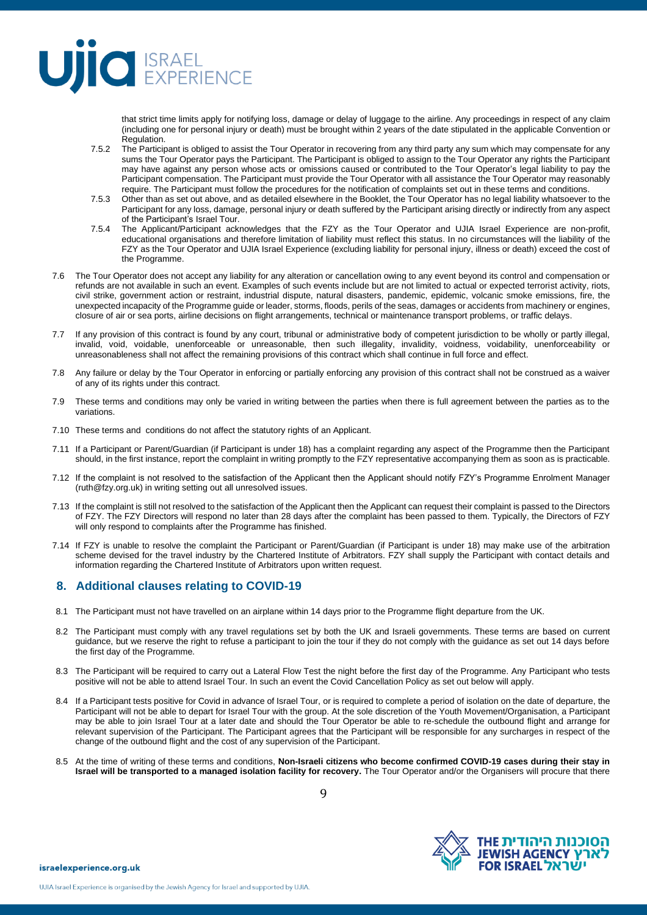

that strict time limits apply for notifying loss, damage or delay of luggage to the airline. Any proceedings in respect of any claim (including one for personal injury or death) must be brought within 2 years of the date stipulated in the applicable Convention or Regulation.

- 7.5.2 The Participant is obliged to assist the Tour Operator in recovering from any third party any sum which may compensate for any sums the Tour Operator pays the Participant. The Participant is obliged to assign to the Tour Operator any rights the Participant may have against any person whose acts or omissions caused or contributed to the Tour Operator's legal liability to pay the Participant compensation. The Participant must provide the Tour Operator with all assistance the Tour Operator may reasonably require. The Participant must follow the procedures for the notification of complaints set out in these terms and conditions.
- 7.5.3 Other than as set out above, and as detailed elsewhere in the Booklet, the Tour Operator has no legal liability whatsoever to the Participant for any loss, damage, personal injury or death suffered by the Participant arising directly or indirectly from any aspect of the Participant's Israel Tour.
- 7.5.4 The Applicant/Participant acknowledges that the FZY as the Tour Operator and UJIA Israel Experience are non-profit, educational organisations and therefore limitation of liability must reflect this status. In no circumstances will the liability of the FZY as the Tour Operator and UJIA Israel Experience (excluding liability for personal injury, illness or death) exceed the cost of the Programme.
- 7.6 The Tour Operator does not accept any liability for any alteration or cancellation owing to any event beyond its control and compensation or refunds are not available in such an event. Examples of such events include but are not limited to actual or expected terrorist activity, riots, civil strike, government action or restraint, industrial dispute, natural disasters, pandemic, epidemic, volcanic smoke emissions, fire, the unexpected incapacity of the Programme guide or leader, storms, floods, perils of the seas, damages or accidents from machinery or engines, closure of air or sea ports, airline decisions on flight arrangements, technical or maintenance transport problems, or traffic delays.
- 7.7 If any provision of this contract is found by any court, tribunal or administrative body of competent jurisdiction to be wholly or partly illegal, invalid, void, voidable, unenforceable or unreasonable, then such illegality, invalidity, voidness, voidability, unenforceability or unreasonableness shall not affect the remaining provisions of this contract which shall continue in full force and effect.
- 7.8 Any failure or delay by the Tour Operator in enforcing or partially enforcing any provision of this contract shall not be construed as a waiver of any of its rights under this contract.
- 7.9 These terms and conditions may only be varied in writing between the parties when there is full agreement between the parties as to the variations.
- 7.10 These terms and conditions do not affect the statutory rights of an Applicant.
- 7.11 If a Participant or Parent/Guardian (if Participant is under 18) has a complaint regarding any aspect of the Programme then the Participant should, in the first instance, report the complaint in writing promptly to the FZY representative accompanying them as soon as is practicable.
- 7.12 If the complaint is not resolved to the satisfaction of the Applicant then the Applicant should notify FZY's Programme Enrolment Manager [\(ruth@fzy.org.uk\)](mailto:ruth@fzy.org.uk) in writing setting out all unresolved issues.
- 7.13 If the complaint is still not resolved to the satisfaction of the Applicant then the Applicant can request their complaint is passed to the Directors of FZY. The FZY Directors will respond no later than 28 days after the complaint has been passed to them. Typically, the Directors of FZY will only respond to complaints after the Programme has finished.
- 7.14 If FZY is unable to resolve the complaint the Participant or Parent/Guardian (if Participant is under 18) may make use of the arbitration scheme devised for the travel industry by the Chartered Institute of Arbitrators. FZY shall supply the Participant with contact details and information regarding the Chartered Institute of Arbitrators upon written request.

### **8. Additional clauses relating to COVID-19**

- 8.1 The Participant must not have travelled on an airplane within 14 days prior to the Programme flight departure from the UK.
- 8.2 The Participant must comply with any travel regulations set by both the UK and Israeli governments. These terms are based on current guidance, but we reserve the right to refuse a participant to join the tour if they do not comply with the guidance as set out 14 days before the first day of the Programme.
- 8.3 The Participant will be required to carry out a Lateral Flow Test the night before the first day of the Programme. Any Participant who tests positive will not be able to attend Israel Tour. In such an event the Covid Cancellation Policy as set out below will apply.
- 8.4 If a Participant tests positive for Covid in advance of Israel Tour, or is required to complete a period of isolation on the date of departure, the Participant will not be able to depart for Israel Tour with the group. At the sole discretion of the Youth Movement/Organisation, a Participant may be able to join Israel Tour at a later date and should the Tour Operator be able to re-schedule the outbound flight and arrange for relevant supervision of the Participant. The Participant agrees that the Participant will be responsible for any surcharges in respect of the change of the outbound flight and the cost of any supervision of the Participant.
- 8.5 At the time of writing of these terms and conditions, **Non-Israeli citizens who become confirmed COVID-19 cases during their stay in Israel will be transported to a managed isolation facility for recovery.** The Tour Operator and/or the Organisers will procure that there

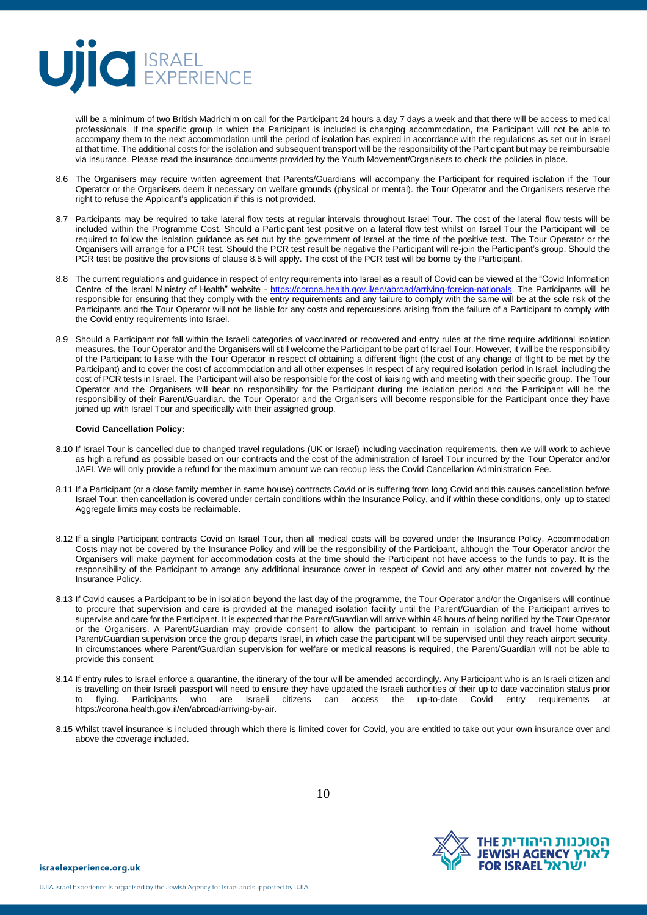

will be a minimum of two British Madrichim on call for the Participant 24 hours a day 7 days a week and that there will be access to medical professionals. If the specific group in which the Participant is included is changing accommodation, the Participant will not be able to accompany them to the next accommodation until the period of isolation has expired in accordance with the regulations as set out in Israel at that time. The additional costs for the isolation and subsequent transport will be the responsibility of the Participant but may be reimbursable via insurance. Please read the insurance documents provided by the Youth Movement/Organisers to check the policies in place.

- 8.6 The Organisers may require written agreement that Parents/Guardians will accompany the Participant for required isolation if the Tour Operator or the Organisers deem it necessary on welfare grounds (physical or mental). the Tour Operator and the Organisers reserve the right to refuse the Applicant's application if this is not provided.
- 8.7 Participants may be required to take lateral flow tests at regular intervals throughout Israel Tour. The cost of the lateral flow tests will be included within the Programme Cost. Should a Participant test positive on a lateral flow test whilst on Israel Tour the Participant will be required to follow the isolation guidance as set out by the government of Israel at the time of the positive test. The Tour Operator or the Organisers will arrange for a PCR test. Should the PCR test result be negative the Participant will re-join the Participant's group. Should the PCR test be positive the provisions of clause 8.5 will apply. The cost of the PCR test will be borne by the Participant.
- 8.8 The current regulations and guidance in respect of entry requirements into Israel as a result of Covid can be viewed at the "Covid Information Centre of the Israel Ministry of Health" website - [https://corona.health.gov.il/en/abroad/arriving-foreign-nationals.](https://corona.health.gov.il/en/abroad/arriving-foreign-nationals) The Participants will be responsible for ensuring that they comply with the entry requirements and any failure to comply with the same will be at the sole risk of the Participants and the Tour Operator will not be liable for any costs and repercussions arising from the failure of a Participant to comply with the Covid entry requirements into Israel.
- 8.9 Should a Participant not fall within the Israeli categories of vaccinated or recovered and entry rules at the time require additional isolation measures, the Tour Operator and the Organisers will still welcome the Participant to be part of Israel Tour. However, it will be the responsibility of the Participant to liaise with the Tour Operator in respect of obtaining a different flight (the cost of any change of flight to be met by the Participant) and to cover the cost of accommodation and all other expenses in respect of any required isolation period in Israel, including the cost of PCR tests in Israel. The Participant will also be responsible for the cost of liaising with and meeting with their specific group. The Tour Operator and the Organisers will bear no responsibility for the Participant during the isolation period and the Participant will be the responsibility of their Parent/Guardian. the Tour Operator and the Organisers will become responsible for the Participant once they have joined up with Israel Tour and specifically with their assigned group.

#### **Covid Cancellation Policy:**

- 8.10 If Israel Tour is cancelled due to changed travel regulations (UK or Israel) including vaccination requirements, then we will work to achieve as high a refund as possible based on our contracts and the cost of the administration of Israel Tour incurred by the Tour Operator and/or JAFI. We will only provide a refund for the maximum amount we can recoup less the Covid Cancellation Administration Fee.
- 8.11 If a Participant (or a close family member in same house) contracts Covid or is suffering from long Covid and this causes cancellation before Israel Tour, then cancellation is covered under certain conditions within the Insurance Policy, and if within these conditions, only up to stated Aggregate limits may costs be reclaimable.
- 8.12 If a single Participant contracts Covid on Israel Tour, then all medical costs will be covered under the Insurance Policy. Accommodation Costs may not be covered by the Insurance Policy and will be the responsibility of the Participant, although the Tour Operator and/or the Organisers will make payment for accommodation costs at the time should the Participant not have access to the funds to pay. It is the responsibility of the Participant to arrange any additional insurance cover in respect of Covid and any other matter not covered by the Insurance Policy.
- 8.13 If Covid causes a Participant to be in isolation beyond the last day of the programme, the Tour Operator and/or the Organisers will continue to procure that supervision and care is provided at the managed isolation facility until the Parent/Guardian of the Participant arrives to supervise and care for the Participant. It is expected that the Parent/Guardian will arrive within 48 hours of being notified by the Tour Operator or the Organisers. A Parent/Guardian may provide consent to allow the participant to remain in isolation and travel home without Parent/Guardian supervision once the group departs Israel, in which case the participant will be supervised until they reach airport security. In circumstances where Parent/Guardian supervision for welfare or medical reasons is required, the Parent/Guardian will not be able to provide this consent.
- 8.14 If entry rules to Israel enforce a quarantine, the itinerary of the tour will be amended accordingly. Any Participant who is an Israeli citizen and is travelling on their Israeli passport will need to ensure they have updated the Israeli authorities of their up to date vaccination status prior to flying. Participants who are Israeli citizens can access the up-to-date Covid entry requirements at https://corona.health.gov.il/en/abroad/arriving-by-air.
- 8.15 Whilst travel insurance is included through which there is limited cover for Covid, you are entitled to take out your own insurance over and above the coverage included.